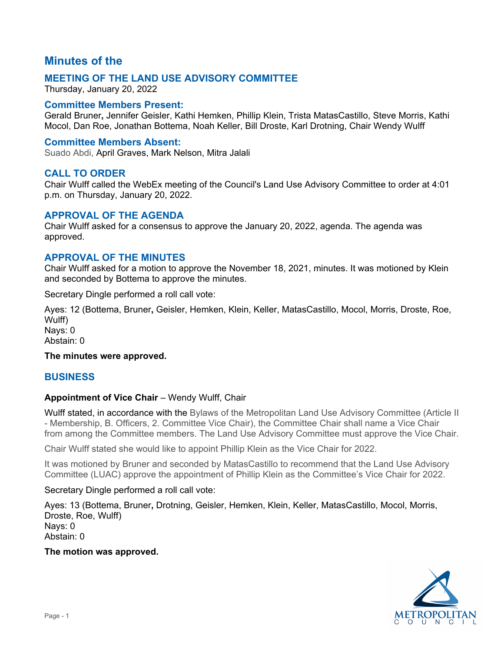# **Minutes of the**

## **MEETING OF THE LAND USE ADVISORY COMMITTEE**

Thursday, January 20, 2022

## **Committee Members Present:**

Gerald Bruner**,** Jennifer Geisler, Kathi Hemken, Phillip Klein, Trista MatasCastillo, Steve Morris, Kathi Mocol, Dan Roe, Jonathan Bottema, Noah Keller, Bill Droste, Karl Drotning, Chair Wendy Wulff

## **Committee Members Absent:**

Suado Abdi, April Graves, Mark Nelson, Mitra Jalali

## **CALL TO ORDER**

Chair Wulff called the WebEx meeting of the Council's Land Use Advisory Committee to order at 4:01 p.m. on Thursday, January 20, 2022.

## **APPROVAL OF THE AGENDA**

Chair Wulff asked for a consensus to approve the January 20, 2022, agenda. The agenda was approved.

## **APPROVAL OF THE MINUTES**

Chair Wulff asked for a motion to approve the November 18, 2021, minutes. It was motioned by Klein and seconded by Bottema to approve the minutes.

Secretary Dingle performed a roll call vote:

Ayes: 12 (Bottema, Bruner**,** Geisler, Hemken, Klein, Keller, MatasCastillo, Mocol, Morris, Droste, Roe, Wulff)

Nays: 0 Abstain: 0

## **The minutes were approved.**

## **BUSINESS**

## **Appointment of Vice Chair** – Wendy Wulff, Chair

Wulff stated, in accordance with the Bylaws of the Metropolitan Land Use Advisory Committee (Article II - Membership, B. Officers, 2. Committee Vice Chair), the Committee Chair shall name a Vice Chair from among the Committee members. The Land Use Advisory Committee must approve the Vice Chair.

Chair Wulff stated she would like to appoint Phillip Klein as the Vice Chair for 2022.

It was motioned by Bruner and seconded by MatasCastillo to recommend that the Land Use Advisory Committee (LUAC) approve the appointment of Phillip Klein as the Committee's Vice Chair for 2022.

## Secretary Dingle performed a roll call vote:

Ayes: 13 (Bottema, Bruner**,** Drotning, Geisler, Hemken, Klein, Keller, MatasCastillo, Mocol, Morris, Droste, Roe, Wulff) Nays: 0 Abstain: 0

## **The motion was approved.**

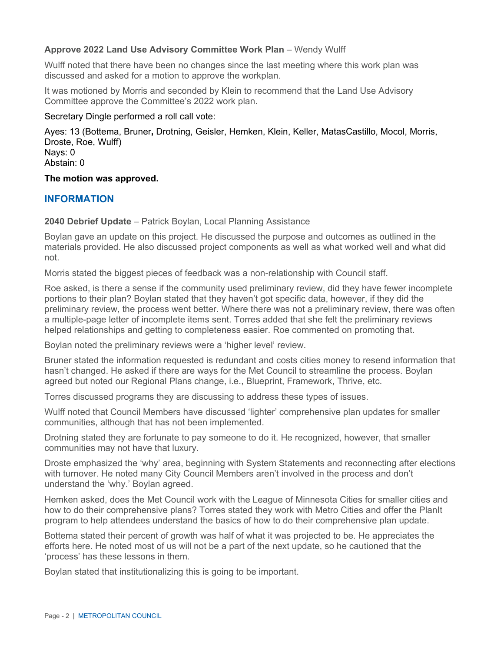## **Approve 2022 Land Use Advisory Committee Work Plan** – Wendy Wulff

Wulff noted that there have been no changes since the last meeting where this work plan was discussed and asked for a motion to approve the workplan.

It was motioned by Morris and seconded by Klein to recommend that the Land Use Advisory Committee approve the Committee's 2022 work plan.

Secretary Dingle performed a roll call vote:

Ayes: 13 (Bottema, Bruner**,** Drotning, Geisler, Hemken, Klein, Keller, MatasCastillo, Mocol, Morris, Droste, Roe, Wulff) Nays: 0 Abstain: 0

**The motion was approved.**

## **INFORMATION**

**2040 Debrief Update** – Patrick Boylan, Local Planning Assistance

Boylan gave an update on this project. He discussed the purpose and outcomes as outlined in the materials provided. He also discussed project components as well as what worked well and what did not.

Morris stated the biggest pieces of feedback was a non-relationship with Council staff.

Roe asked, is there a sense if the community used preliminary review, did they have fewer incomplete portions to their plan? Boylan stated that they haven't got specific data, however, if they did the preliminary review, the process went better. Where there was not a preliminary review, there was often a multiple-page letter of incomplete items sent. Torres added that she felt the preliminary reviews helped relationships and getting to completeness easier. Roe commented on promoting that.

Boylan noted the preliminary reviews were a 'higher level' review.

Bruner stated the information requested is redundant and costs cities money to resend information that hasn't changed. He asked if there are ways for the Met Council to streamline the process. Boylan agreed but noted our Regional Plans change, i.e., Blueprint, Framework, Thrive, etc.

Torres discussed programs they are discussing to address these types of issues.

Wulff noted that Council Members have discussed 'lighter' comprehensive plan updates for smaller communities, although that has not been implemented.

Drotning stated they are fortunate to pay someone to do it. He recognized, however, that smaller communities may not have that luxury.

Droste emphasized the 'why' area, beginning with System Statements and reconnecting after elections with turnover. He noted many City Council Members aren't involved in the process and don't understand the 'why.' Boylan agreed.

Hemken asked, does the Met Council work with the League of Minnesota Cities for smaller cities and how to do their comprehensive plans? Torres stated they work with Metro Cities and offer the PlanIt program to help attendees understand the basics of how to do their comprehensive plan update.

Bottema stated their percent of growth was half of what it was projected to be. He appreciates the efforts here. He noted most of us will not be a part of the next update, so he cautioned that the 'process' has these lessons in them.

Boylan stated that institutionalizing this is going to be important.